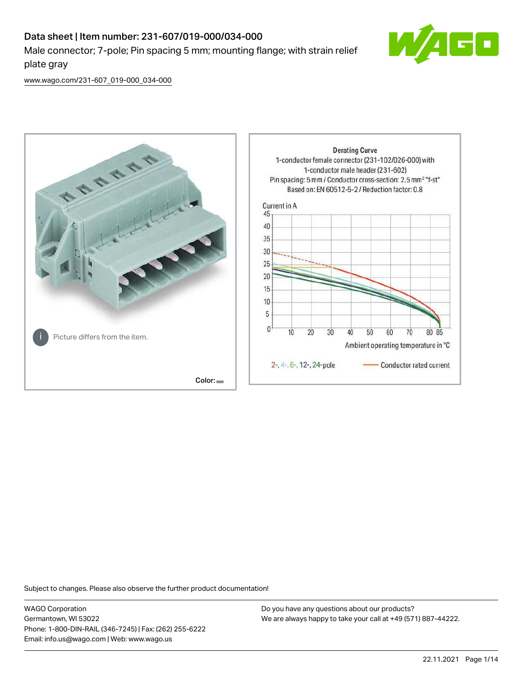## Data sheet | Item number: 231-607/019-000/034-000 Male connector; 7-pole; Pin spacing 5 mm; mounting flange; with strain relief plate gray



[www.wago.com/231-607\\_019-000\\_034-000](http://www.wago.com/231-607_019-000_034-000)



Subject to changes. Please also observe the further product documentation!

WAGO Corporation Germantown, WI 53022 Phone: 1-800-DIN-RAIL (346-7245) | Fax: (262) 255-6222 Email: info.us@wago.com | Web: www.wago.us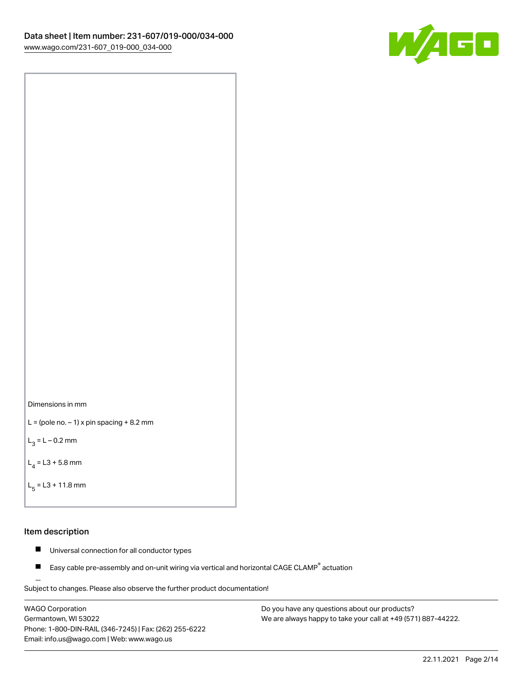



```
L = (pole no. -1) x pin spacing +8.2 mm
```
 $L_3 = L - 0.2$  mm

```
L_4 = L3 + 5.8 mm
```

```
L_{\rm g} = L3 + 11.8 mm
```
## Item description

- $\blacksquare$ Universal connection for all conductor types
- Easy cable pre-assembly and on-unit wiring via vertical and horizontal CAGE CLAMP<sup>®</sup> actuation  $\blacksquare$

Subject to changes. Please also observe the further product documentation! For wire-to-wire and board-to-wire connections

WAGO Corporation Germantown, WI 53022 Phone: 1-800-DIN-RAIL (346-7245) | Fax: (262) 255-6222 Email: info.us@wago.com | Web: www.wago.us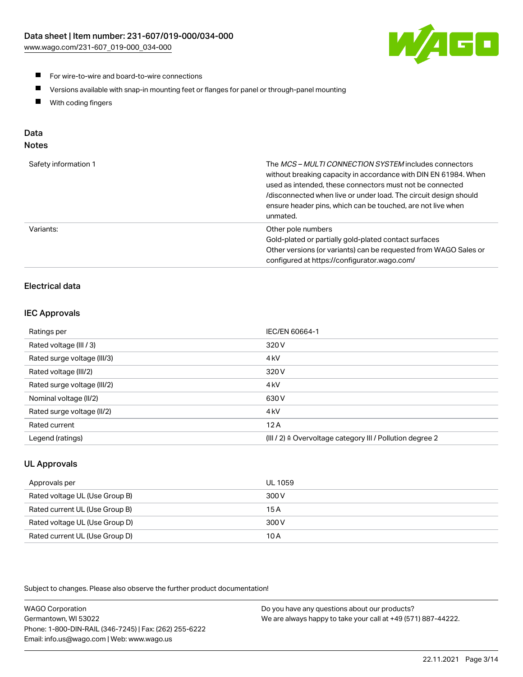[www.wago.com/231-607\\_019-000\\_034-000](http://www.wago.com/231-607_019-000_034-000)



- **For wire-to-wire and board-to-wire connections**
- $\blacksquare$ Versions available with snap-in mounting feet or flanges for panel or through-panel mounting
- $\blacksquare$ With coding fingers

# Data

| Safety information 1 | The MCS-MULTI CONNECTION SYSTEM includes connectors<br>without breaking capacity in accordance with DIN EN 61984. When<br>used as intended, these connectors must not be connected<br>/disconnected when live or under load. The circuit design should<br>ensure header pins, which can be touched, are not live when<br>unmated. |
|----------------------|-----------------------------------------------------------------------------------------------------------------------------------------------------------------------------------------------------------------------------------------------------------------------------------------------------------------------------------|
| Variants:            | Other pole numbers<br>Gold-plated or partially gold-plated contact surfaces<br>Other versions (or variants) can be requested from WAGO Sales or<br>configured at https://configurator.wago.com/                                                                                                                                   |

## Electrical data

## IEC Approvals

| Ratings per                 | IEC/EN 60664-1                                                        |
|-----------------------------|-----------------------------------------------------------------------|
| Rated voltage (III / 3)     | 320 V                                                                 |
| Rated surge voltage (III/3) | 4 <sub>k</sub> V                                                      |
| Rated voltage (III/2)       | 320 V                                                                 |
| Rated surge voltage (III/2) | 4 <sub>k</sub> V                                                      |
| Nominal voltage (II/2)      | 630 V                                                                 |
| Rated surge voltage (II/2)  | 4 <sub>k</sub> V                                                      |
| Rated current               | 12A                                                                   |
| Legend (ratings)            | $(III / 2)$ $\triangle$ Overvoltage category III / Pollution degree 2 |

## UL Approvals

| Approvals per                  | UL 1059 |
|--------------------------------|---------|
| Rated voltage UL (Use Group B) | 300 V   |
| Rated current UL (Use Group B) | 15 A    |
| Rated voltage UL (Use Group D) | 300 V   |
| Rated current UL (Use Group D) | 10 A    |

Subject to changes. Please also observe the further product documentation!

| <b>WAGO Corporation</b>                                | Do you have any questions about our products?                 |
|--------------------------------------------------------|---------------------------------------------------------------|
| Germantown, WI 53022                                   | We are always happy to take your call at +49 (571) 887-44222. |
| Phone: 1-800-DIN-RAIL (346-7245)   Fax: (262) 255-6222 |                                                               |
| Email: info.us@wago.com   Web: www.wago.us             |                                                               |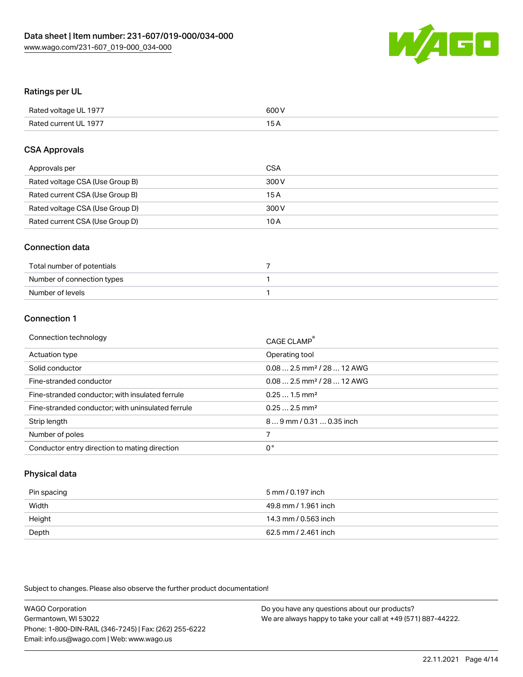

## Ratings per UL

| Rated voltage UL 1977 | 600 V |
|-----------------------|-------|
| Rated current UL 1977 | . .   |

## CSA Approvals

| Approvals per                   | CSA   |
|---------------------------------|-------|
| Rated voltage CSA (Use Group B) | 300 V |
| Rated current CSA (Use Group B) | 15 A  |
| Rated voltage CSA (Use Group D) | 300 V |
| Rated current CSA (Use Group D) | 10 A  |

## Connection data

| Total number of potentials |  |
|----------------------------|--|
| Number of connection types |  |
| Number of levels           |  |

## Connection 1

| Connection technology                             | CAGE CLAMP                             |
|---------------------------------------------------|----------------------------------------|
| Actuation type                                    | Operating tool                         |
| Solid conductor                                   | $0.082.5$ mm <sup>2</sup> / 28  12 AWG |
| Fine-stranded conductor                           | $0.082.5$ mm <sup>2</sup> / 28  12 AWG |
| Fine-stranded conductor; with insulated ferrule   | $0.251.5$ mm <sup>2</sup>              |
| Fine-stranded conductor; with uninsulated ferrule | $0.252.5$ mm <sup>2</sup>              |
| Strip length                                      | 89 mm / 0.31  0.35 inch                |
| Number of poles                                   |                                        |
| Conductor entry direction to mating direction     | 0°                                     |
|                                                   |                                        |

## Physical data

| Pin spacing | 5 mm / 0.197 inch    |
|-------------|----------------------|
| Width       | 49.8 mm / 1.961 inch |
| Height      | 14.3 mm / 0.563 inch |
| Depth       | 62.5 mm / 2.461 inch |

Subject to changes. Please also observe the further product documentation!

| <b>WAGO Corporation</b>                                | Do you have any questions about our products?                 |
|--------------------------------------------------------|---------------------------------------------------------------|
| Germantown, WI 53022                                   | We are always happy to take your call at +49 (571) 887-44222. |
| Phone: 1-800-DIN-RAIL (346-7245)   Fax: (262) 255-6222 |                                                               |
| Email: info.us@wago.com   Web: www.wago.us             |                                                               |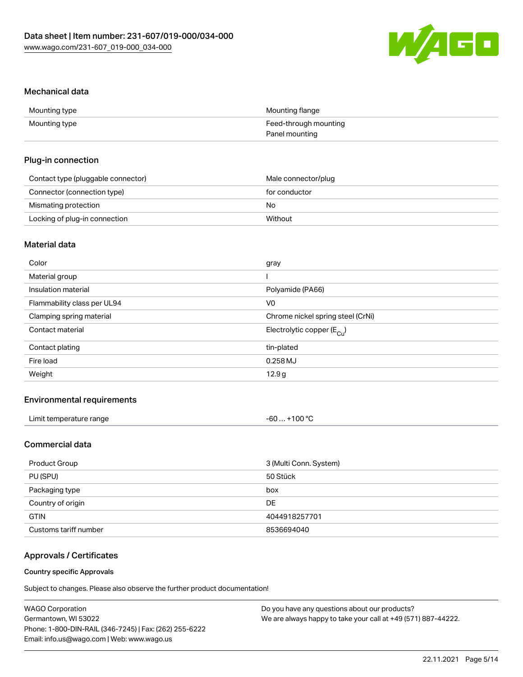

## Mechanical data

| Mounting type | Mounting flange       |
|---------------|-----------------------|
| Mounting type | Feed-through mounting |
|               | Panel mounting        |

## Plug-in connection

| Contact type (pluggable connector) | Male connector/plug |
|------------------------------------|---------------------|
| Connector (connection type)        | for conductor       |
| Mismating protection               | No.                 |
| Locking of plug-in connection      | Without             |

## Material data

| Color                       | gray                                  |
|-----------------------------|---------------------------------------|
| Material group              |                                       |
| Insulation material         | Polyamide (PA66)                      |
| Flammability class per UL94 | V0                                    |
| Clamping spring material    | Chrome nickel spring steel (CrNi)     |
| Contact material            | Electrolytic copper $(E_{\text{Cl}})$ |
| Contact plating             | tin-plated                            |
| Fire load                   | $0.258$ MJ                            |
| Weight                      | 12.9 <sub>g</sub>                     |
|                             |                                       |

## Environmental requirements

| Limit temperature range | $-60+100 °C$ |
|-------------------------|--------------|
|-------------------------|--------------|

## Commercial data

| Product Group         | 3 (Multi Conn. System) |
|-----------------------|------------------------|
| PU (SPU)              | 50 Stück               |
| Packaging type        | box                    |
| Country of origin     | DE.                    |
| <b>GTIN</b>           | 4044918257701          |
| Customs tariff number | 8536694040             |

## Approvals / Certificates

#### Country specific Approvals

Subject to changes. Please also observe the further product documentation!

| <b>WAGO Corporation</b>                                | Do you have any questions about our products?                 |
|--------------------------------------------------------|---------------------------------------------------------------|
| Germantown, WI 53022                                   | We are always happy to take your call at +49 (571) 887-44222. |
| Phone: 1-800-DIN-RAIL (346-7245)   Fax: (262) 255-6222 |                                                               |
| Email: info.us@wago.com   Web: www.wago.us             |                                                               |
|                                                        |                                                               |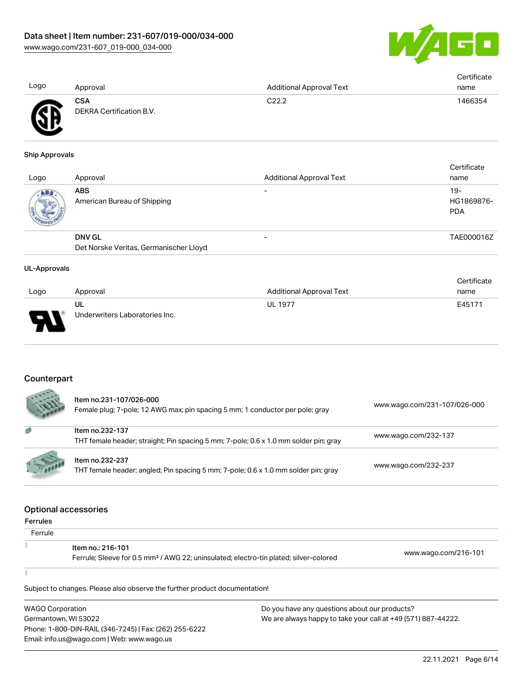

| Logo | Approval                               | <b>Additional Approval Text</b> | Certificate<br>name |
|------|----------------------------------------|---------------------------------|---------------------|
| ÆF   | <b>CSA</b><br>DEKRA Certification B.V. | C <sub>22.2</sub>               | 1466354             |

#### Ship Approvals

| Logo | Approval                                                | <b>Additional Approval Text</b> | Certificate<br>name               |
|------|---------------------------------------------------------|---------------------------------|-----------------------------------|
| ABS. | <b>ABS</b><br>American Bureau of Shipping               |                                 | $19-$<br>HG1869876-<br><b>PDA</b> |
|      | <b>DNV GL</b><br>Det Norske Veritas, Germanischer Lloyd |                                 | TAE000016Z                        |

#### UL-Approvals

|      |                                |                          | Certificate |
|------|--------------------------------|--------------------------|-------------|
| Logo | Approval                       | Additional Approval Text | name        |
|      | UL                             | <b>UL 1977</b>           | E45171      |
| J    | Underwriters Laboratories Inc. |                          |             |

### **Counterpart**

|          | Item no.231-107/026-000<br>Female plug; 7-pole; 12 AWG max; pin spacing 5 mm; 1 conductor per pole; gray | www.wago.com/231-107/026-000 |
|----------|----------------------------------------------------------------------------------------------------------|------------------------------|
| 感        | Item no.232-137<br>THT female header; straight; Pin spacing 5 mm; 7-pole; 0.6 x 1.0 mm solder pin; gray  | www.wago.com/232-137         |
| 1.600000 | Item no.232-237<br>THT female header; angled; Pin spacing 5 mm; 7-pole; 0.6 x 1.0 mm solder pin; gray    | www.wago.com/232-237         |

#### Optional accessories

|                 | Optibliai accessories                                                                             |                      |
|-----------------|---------------------------------------------------------------------------------------------------|----------------------|
| <b>Ferrules</b> |                                                                                                   |                      |
| Ferrule         |                                                                                                   |                      |
|                 | Item no.: 216-101                                                                                 | www.wago.com/216-101 |
|                 | Ferrule; Sleeve for 0.5 mm <sup>2</sup> / AWG 22; uninsulated; electro-tin plated; silver-colored |                      |
|                 |                                                                                                   |                      |

Subject to changes. Please also observe the further product documentation!

WAGO Corporation Germantown, WI 53022 Phone: 1-800-DIN-RAIL (346-7245) | Fax: (262) 255-6222 Email: info.us@wago.com | Web: www.wago.us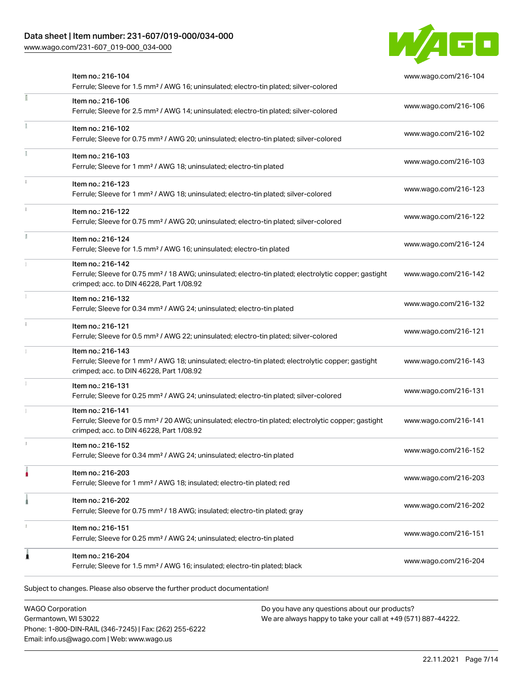[www.wago.com/231-607\\_019-000\\_034-000](http://www.wago.com/231-607_019-000_034-000)



|    | Item no.: 216-104<br>Ferrule; Sleeve for 1.5 mm <sup>2</sup> / AWG 16; uninsulated; electro-tin plated; silver-colored                                                             | www.wago.com/216-104 |
|----|------------------------------------------------------------------------------------------------------------------------------------------------------------------------------------|----------------------|
|    | Item no.: 216-106<br>Ferrule; Sleeve for 2.5 mm <sup>2</sup> / AWG 14; uninsulated; electro-tin plated; silver-colored                                                             | www.wago.com/216-106 |
|    | Item no.: 216-102<br>Ferrule; Sleeve for 0.75 mm <sup>2</sup> / AWG 20; uninsulated; electro-tin plated; silver-colored                                                            | www.wago.com/216-102 |
|    | Item no.: 216-103<br>Ferrule; Sleeve for 1 mm <sup>2</sup> / AWG 18; uninsulated; electro-tin plated                                                                               | www.wago.com/216-103 |
|    | Item no.: 216-123<br>Ferrule; Sleeve for 1 mm <sup>2</sup> / AWG 18; uninsulated; electro-tin plated; silver-colored                                                               | www.wago.com/216-123 |
|    | Item no.: 216-122<br>Ferrule; Sleeve for 0.75 mm <sup>2</sup> / AWG 20; uninsulated; electro-tin plated; silver-colored                                                            | www.wago.com/216-122 |
| ă. | Item no.: 216-124<br>Ferrule; Sleeve for 1.5 mm <sup>2</sup> / AWG 16; uninsulated; electro-tin plated                                                                             | www.wago.com/216-124 |
|    | Item no.: 216-142<br>Ferrule; Sleeve for 0.75 mm <sup>2</sup> / 18 AWG; uninsulated; electro-tin plated; electrolytic copper; gastight<br>crimped; acc. to DIN 46228, Part 1/08.92 | www.wago.com/216-142 |
|    | Item no.: 216-132<br>Ferrule; Sleeve for 0.34 mm <sup>2</sup> / AWG 24; uninsulated; electro-tin plated                                                                            | www.wago.com/216-132 |
|    | Item no.: 216-121<br>Ferrule; Sleeve for 0.5 mm <sup>2</sup> / AWG 22; uninsulated; electro-tin plated; silver-colored                                                             | www.wago.com/216-121 |
|    | Item no.: 216-143<br>Ferrule; Sleeve for 1 mm <sup>2</sup> / AWG 18; uninsulated; electro-tin plated; electrolytic copper; gastight<br>crimped; acc. to DIN 46228, Part 1/08.92    | www.wago.com/216-143 |
|    | Item no.: 216-131<br>Ferrule; Sleeve for 0.25 mm <sup>2</sup> / AWG 24; uninsulated; electro-tin plated; silver-colored                                                            | www.wago.com/216-131 |
|    | Item no.: 216-141<br>Ferrule; Sleeve for 0.5 mm <sup>2</sup> / 20 AWG; uninsulated; electro-tin plated; electrolytic copper; gastight<br>crimped; acc. to DIN 46228, Part 1/08.92  | www.wago.com/216-141 |
|    | Item no.: 216-152<br>Ferrule; Sleeve for 0.34 mm <sup>2</sup> / AWG 24; uninsulated; electro-tin plated                                                                            | www.wago.com/216-152 |
|    | Item no.: 216-203<br>Ferrule; Sleeve for 1 mm <sup>2</sup> / AWG 18; insulated; electro-tin plated; red                                                                            | www.wago.com/216-203 |
|    | Item no.: 216-202<br>Ferrule; Sleeve for 0.75 mm <sup>2</sup> / 18 AWG; insulated; electro-tin plated; gray                                                                        | www.wago.com/216-202 |
|    | Item no.: 216-151<br>Ferrule; Sleeve for 0.25 mm <sup>2</sup> / AWG 24; uninsulated; electro-tin plated                                                                            | www.wago.com/216-151 |
|    | Item no.: 216-204<br>Ferrule; Sleeve for 1.5 mm <sup>2</sup> / AWG 16; insulated; electro-tin plated; black                                                                        | www.wago.com/216-204 |

WAGO Corporation Germantown, WI 53022 Phone: 1-800-DIN-RAIL (346-7245) | Fax: (262) 255-6222 Email: info.us@wago.com | Web: www.wago.us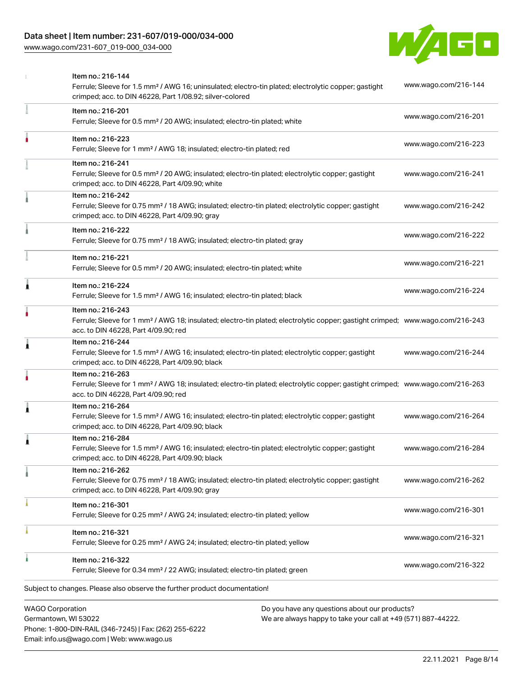[www.wago.com/231-607\\_019-000\\_034-000](http://www.wago.com/231-607_019-000_034-000)



|   | <b>WAGO Corporation</b><br>Do you have any questions about our products?                                                                                                                                |                      |
|---|---------------------------------------------------------------------------------------------------------------------------------------------------------------------------------------------------------|----------------------|
|   | Subject to changes. Please also observe the further product documentation!                                                                                                                              |                      |
|   | Item no.: 216-322<br>Ferrule; Sleeve for 0.34 mm <sup>2</sup> / 22 AWG; insulated; electro-tin plated; green                                                                                            | www.wago.com/216-322 |
|   | Item no.: 216-321<br>Ferrule; Sleeve for 0.25 mm <sup>2</sup> / AWG 24; insulated; electro-tin plated; yellow                                                                                           | www.wago.com/216-321 |
|   | Item no.: 216-301<br>Ferrule; Sleeve for 0.25 mm <sup>2</sup> / AWG 24; insulated; electro-tin plated; yellow                                                                                           | www.wago.com/216-301 |
|   | Item no.: 216-262<br>Ferrule; Sleeve for 0.75 mm <sup>2</sup> / 18 AWG; insulated; electro-tin plated; electrolytic copper; gastight<br>crimped; acc. to DIN 46228, Part 4/09.90; gray                  | www.wago.com/216-262 |
| Â | Item no.: 216-284<br>Ferrule; Sleeve for 1.5 mm <sup>2</sup> / AWG 16; insulated; electro-tin plated; electrolytic copper; gastight<br>crimped; acc. to DIN 46228, Part 4/09.90; black                  | www.wago.com/216-284 |
| 1 | Item no.: 216-264<br>Ferrule; Sleeve for 1.5 mm <sup>2</sup> / AWG 16; insulated; electro-tin plated; electrolytic copper; gastight<br>crimped; acc. to DIN 46228, Part 4/09.90; black                  | www.wago.com/216-264 |
|   | Item no.: 216-263<br>Ferrule; Sleeve for 1 mm <sup>2</sup> / AWG 18; insulated; electro-tin plated; electrolytic copper; gastight crimped; www.wago.com/216-263<br>acc. to DIN 46228, Part 4/09.90; red |                      |
| 1 | Item no.: 216-244<br>Ferrule; Sleeve for 1.5 mm <sup>2</sup> / AWG 16; insulated; electro-tin plated; electrolytic copper; gastight<br>crimped; acc. to DIN 46228, Part 4/09.90; black                  | www.wago.com/216-244 |
|   | Item no.: 216-243<br>Ferrule; Sleeve for 1 mm <sup>2</sup> / AWG 18; insulated; electro-tin plated; electrolytic copper; gastight crimped; www.wago.com/216-243<br>acc. to DIN 46228, Part 4/09.90; red |                      |
| Ă | Item no.: 216-224<br>Ferrule; Sleeve for 1.5 mm <sup>2</sup> / AWG 16; insulated; electro-tin plated; black                                                                                             | www.wago.com/216-224 |
|   | Item no.: 216-221<br>Ferrule; Sleeve for 0.5 mm <sup>2</sup> / 20 AWG; insulated; electro-tin plated; white                                                                                             | www.wago.com/216-221 |
|   | Item no.: 216-222<br>Ferrule; Sleeve for 0.75 mm <sup>2</sup> / 18 AWG; insulated; electro-tin plated; gray                                                                                             | www.wago.com/216-222 |
|   | Item no.: 216-242<br>Ferrule; Sleeve for 0.75 mm <sup>2</sup> / 18 AWG; insulated; electro-tin plated; electrolytic copper; gastight<br>crimped; acc. to DIN 46228, Part 4/09.90; gray                  | www.wago.com/216-242 |
|   | Item no.: 216-241<br>Ferrule; Sleeve for 0.5 mm <sup>2</sup> / 20 AWG; insulated; electro-tin plated; electrolytic copper; gastight<br>crimped; acc. to DIN 46228, Part 4/09.90; white                  | www.wago.com/216-241 |
|   | Item no.: 216-223<br>Ferrule; Sleeve for 1 mm <sup>2</sup> / AWG 18; insulated; electro-tin plated; red                                                                                                 | www.wago.com/216-223 |
|   | Item no.: 216-201<br>Ferrule; Sleeve for 0.5 mm <sup>2</sup> / 20 AWG; insulated; electro-tin plated; white                                                                                             | www.wago.com/216-201 |
|   | Item no.: 216-144<br>Ferrule; Sleeve for 1.5 mm <sup>2</sup> / AWG 16; uninsulated; electro-tin plated; electrolytic copper; gastight<br>crimped; acc. to DIN 46228, Part 1/08.92; silver-colored       | www.wago.com/216-144 |

Germantown, WI 53022 Phone: 1-800-DIN-RAIL (346-7245) | Fax: (262) 255-6222 Email: info.us@wago.com | Web: www.wago.us

We are always happy to take your call at +49 (571) 887-44222.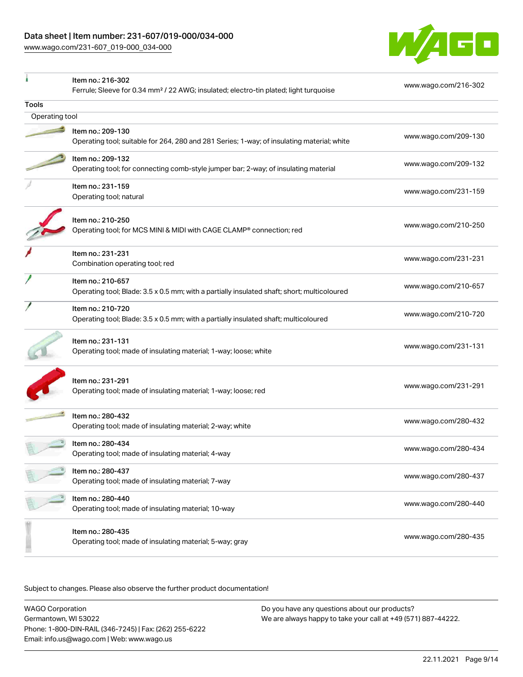[www.wago.com/231-607\\_019-000\\_034-000](http://www.wago.com/231-607_019-000_034-000)



|                | Item no.: 216-302<br>Ferrule; Sleeve for 0.34 mm <sup>2</sup> / 22 AWG; insulated; electro-tin plated; light turquoise | www.wago.com/216-302 |  |  |  |  |  |
|----------------|------------------------------------------------------------------------------------------------------------------------|----------------------|--|--|--|--|--|
| Tools          |                                                                                                                        |                      |  |  |  |  |  |
| Operating tool |                                                                                                                        |                      |  |  |  |  |  |
|                | Item no.: 209-130                                                                                                      |                      |  |  |  |  |  |
|                | Operating tool; suitable for 264, 280 and 281 Series; 1-way; of insulating material; white                             | www.wago.com/209-130 |  |  |  |  |  |
|                | Item no.: 209-132                                                                                                      | www.wago.com/209-132 |  |  |  |  |  |
|                | Operating tool; for connecting comb-style jumper bar; 2-way; of insulating material                                    |                      |  |  |  |  |  |
|                | Item no.: 231-159                                                                                                      | www.wago.com/231-159 |  |  |  |  |  |
|                | Operating tool; natural                                                                                                |                      |  |  |  |  |  |
|                | Item no.: 210-250                                                                                                      |                      |  |  |  |  |  |
|                | Operating tool; for MCS MINI & MIDI with CAGE CLAMP® connection; red                                                   | www.wago.com/210-250 |  |  |  |  |  |
|                | Item no.: 231-231                                                                                                      | www.wago.com/231-231 |  |  |  |  |  |
|                | Combination operating tool; red                                                                                        |                      |  |  |  |  |  |
|                | Item no.: 210-657                                                                                                      | www.wago.com/210-657 |  |  |  |  |  |
|                | Operating tool; Blade: 3.5 x 0.5 mm; with a partially insulated shaft; short; multicoloured                            |                      |  |  |  |  |  |
|                | Item no.: 210-720                                                                                                      | www.wago.com/210-720 |  |  |  |  |  |
|                | Operating tool; Blade: 3.5 x 0.5 mm; with a partially insulated shaft; multicoloured                                   |                      |  |  |  |  |  |
|                | Item no.: 231-131                                                                                                      | www.wago.com/231-131 |  |  |  |  |  |
|                | Operating tool; made of insulating material; 1-way; loose; white                                                       |                      |  |  |  |  |  |
|                | Item no.: 231-291                                                                                                      |                      |  |  |  |  |  |
|                | Operating tool; made of insulating material; 1-way; loose; red                                                         | www.wago.com/231-291 |  |  |  |  |  |
|                |                                                                                                                        |                      |  |  |  |  |  |
|                | Item no.: 280-432                                                                                                      | www.wago.com/280-432 |  |  |  |  |  |
|                | Operating tool; made of insulating material; 2-way; white                                                              |                      |  |  |  |  |  |
|                | Item no.: 280-434                                                                                                      | www.wago.com/280-434 |  |  |  |  |  |
|                | Operating tool; made of insulating material; 4-way                                                                     |                      |  |  |  |  |  |
|                | Item no.: 280-437                                                                                                      | www.wago.com/280-437 |  |  |  |  |  |
|                | Operating tool; made of insulating material; 7-way                                                                     |                      |  |  |  |  |  |
|                | Item no.: 280-440                                                                                                      | www.wago.com/280-440 |  |  |  |  |  |
|                | Operating tool; made of insulating material; 10-way                                                                    |                      |  |  |  |  |  |
|                | Item no.: 280-435                                                                                                      |                      |  |  |  |  |  |
|                | Operating tool; made of insulating material; 5-way; gray                                                               | www.wago.com/280-435 |  |  |  |  |  |
|                |                                                                                                                        |                      |  |  |  |  |  |

Subject to changes. Please also observe the further product documentation!

WAGO Corporation Germantown, WI 53022 Phone: 1-800-DIN-RAIL (346-7245) | Fax: (262) 255-6222 Email: info.us@wago.com | Web: www.wago.us Do you have any questions about our products? We are always happy to take your call at +49 (571) 887-44222.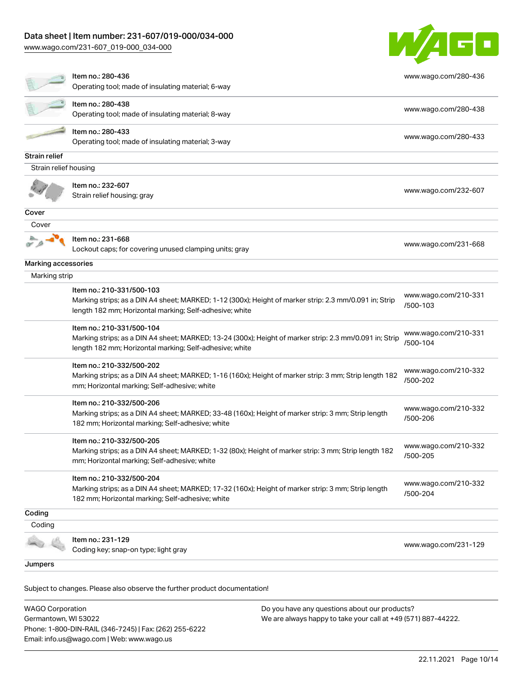[www.wago.com/231-607\\_019-000\\_034-000](http://www.wago.com/231-607_019-000_034-000)

Germantown, WI 53022

Phone: 1-800-DIN-RAIL (346-7245) | Fax: (262) 255-6222

Email: info.us@wago.com | Web: www.wago.us



|                         | Item no.: 280-436<br>Operating tool; made of insulating material; 6-way                                                                                                                         | www.wago.com/280-436             |  |
|-------------------------|-------------------------------------------------------------------------------------------------------------------------------------------------------------------------------------------------|----------------------------------|--|
|                         | Item no.: 280-438<br>Operating tool; made of insulating material; 8-way                                                                                                                         | www.wago.com/280-438             |  |
|                         | Item no.: 280-433<br>Operating tool; made of insulating material; 3-way                                                                                                                         | www.wago.com/280-433             |  |
| Strain relief           |                                                                                                                                                                                                 |                                  |  |
| Strain relief housing   |                                                                                                                                                                                                 |                                  |  |
|                         | Item no.: 232-607<br>Strain relief housing; gray                                                                                                                                                | www.wago.com/232-607             |  |
| Cover                   |                                                                                                                                                                                                 |                                  |  |
| Cover                   |                                                                                                                                                                                                 |                                  |  |
|                         | Item no.: 231-668<br>Lockout caps; for covering unused clamping units; gray                                                                                                                     | www.wago.com/231-668             |  |
| Marking accessories     |                                                                                                                                                                                                 |                                  |  |
| Marking strip           |                                                                                                                                                                                                 |                                  |  |
|                         | Item no.: 210-331/500-103<br>Marking strips; as a DIN A4 sheet; MARKED; 1-12 (300x); Height of marker strip: 2.3 mm/0.091 in; Strip<br>length 182 mm; Horizontal marking; Self-adhesive; white  | www.wago.com/210-331<br>/500-103 |  |
|                         | Item no.: 210-331/500-104<br>Marking strips; as a DIN A4 sheet; MARKED; 13-24 (300x); Height of marker strip: 2.3 mm/0.091 in; Strip<br>length 182 mm; Horizontal marking; Self-adhesive; white | www.wago.com/210-331<br>/500-104 |  |
|                         | Item no.: 210-332/500-202<br>Marking strips; as a DIN A4 sheet; MARKED; 1-16 (160x); Height of marker strip: 3 mm; Strip length 182<br>mm; Horizontal marking; Self-adhesive; white             | www.wago.com/210-332<br>/500-202 |  |
|                         | Item no.: 210-332/500-206<br>Marking strips; as a DIN A4 sheet; MARKED; 33-48 (160x); Height of marker strip: 3 mm; Strip length<br>182 mm; Horizontal marking; Self-adhesive; white            | www.wago.com/210-332<br>/500-206 |  |
|                         | Item no.: 210-332/500-205<br>Marking strips; as a DIN A4 sheet; MARKED; 1-32 (80x); Height of marker strip: 3 mm; Strip length 182<br>mm; Horizontal marking; Self-adhesive; white              | www.wago.com/210-332<br>/500-205 |  |
|                         | Item no.: 210-332/500-204<br>Marking strips; as a DIN A4 sheet; MARKED; 17-32 (160x); Height of marker strip: 3 mm; Strip length<br>182 mm; Horizontal marking; Self-adhesive; white            | www.wago.com/210-332<br>/500-204 |  |
| Coding                  |                                                                                                                                                                                                 |                                  |  |
| Coding                  |                                                                                                                                                                                                 |                                  |  |
|                         | Item no.: 231-129<br>Coding key; snap-on type; light gray                                                                                                                                       | www.wago.com/231-129             |  |
| Jumpers                 |                                                                                                                                                                                                 |                                  |  |
|                         | Subject to changes. Please also observe the further product documentation!                                                                                                                      |                                  |  |
| <b>WAGO Corporation</b> | Do you have any questions about our products?                                                                                                                                                   |                                  |  |

We are always happy to take your call at +49 (571) 887-44222.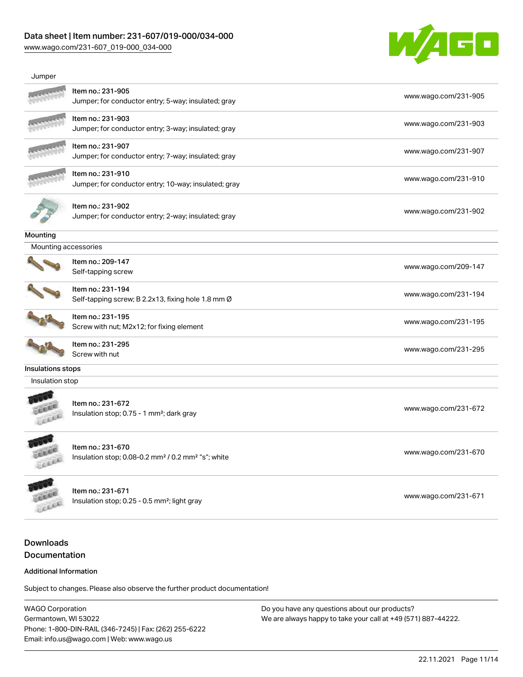[www.wago.com/231-607\\_019-000\\_034-000](http://www.wago.com/231-607_019-000_034-000)



| Jumper               |                                                                                                 |                      |
|----------------------|-------------------------------------------------------------------------------------------------|----------------------|
|                      | Item no.: 231-905<br>Jumper; for conductor entry; 5-way; insulated; gray                        | www.wago.com/231-905 |
|                      | Item no.: 231-903<br>Jumper; for conductor entry; 3-way; insulated; gray                        | www.wago.com/231-903 |
|                      | Item no.: 231-907<br>Jumper; for conductor entry; 7-way; insulated; gray                        | www.wago.com/231-907 |
|                      | Item no.: 231-910<br>Jumper; for conductor entry; 10-way; insulated; gray                       | www.wago.com/231-910 |
|                      | Item no.: 231-902<br>Jumper; for conductor entry; 2-way; insulated; gray                        | www.wago.com/231-902 |
| Mounting             |                                                                                                 |                      |
| Mounting accessories |                                                                                                 |                      |
|                      | Item no.: 209-147<br>Self-tapping screw                                                         | www.wago.com/209-147 |
|                      | Item no.: 231-194<br>Self-tapping screw; B 2.2x13, fixing hole 1.8 mm Ø                         | www.wago.com/231-194 |
|                      | Item no.: 231-195<br>Screw with nut; M2x12; for fixing element                                  | www.wago.com/231-195 |
|                      | Item no.: 231-295<br>Screw with nut                                                             | www.wago.com/231-295 |
| Insulations stops    |                                                                                                 |                      |
| Insulation stop      |                                                                                                 |                      |
| Lecce                | Item no.: 231-672<br>Insulation stop; 0.75 - 1 mm <sup>2</sup> ; dark gray                      | www.wago.com/231-672 |
|                      | Item no.: 231-670<br>Insulation stop; 0.08-0.2 mm <sup>2</sup> / 0.2 mm <sup>2</sup> "s"; white | www.wago.com/231-670 |
| LEEL                 | Item no.: 231-671<br>Insulation stop; 0.25 - 0.5 mm <sup>2</sup> ; light gray                   | www.wago.com/231-671 |

## Downloads Documentation

#### Additional Information

Subject to changes. Please also observe the further product documentation!

WAGO Corporation Germantown, WI 53022 Phone: 1-800-DIN-RAIL (346-7245) | Fax: (262) 255-6222 Email: info.us@wago.com | Web: www.wago.us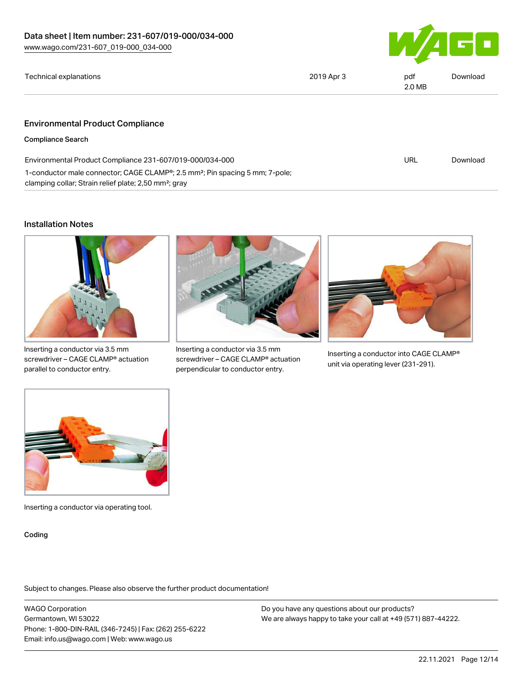

URL [Download](https://www.wago.com/global/d/ComplianceLinkMediaContainer_231-607_019-000_034-000)

| Technical explanations | 2019 Apr 3 | pdf<br>2.0 MB | Download |
|------------------------|------------|---------------|----------|
|                        |            |               |          |

#### Environmental Product Compliance

Compliance Search

Environmental Product Compliance 231-607/019-000/034-000 1-conductor male connector; CAGE CLAMP®; 2.5 mm²; Pin spacing 5 mm; 7-pole; clamping collar; Strain relief plate; 2,50 mm²; gray

#### Installation Notes



Inserting a conductor via 3.5 mm screwdriver – CAGE CLAMP® actuation parallel to conductor entry.



Inserting a conductor via 3.5 mm screwdriver – CAGE CLAMP® actuation perpendicular to conductor entry.



Inserting a conductor into CAGE CLAMP® unit via operating lever (231-291).



Inserting a conductor via operating tool.

Coding

Subject to changes. Please also observe the further product documentation!

WAGO Corporation Germantown, WI 53022 Phone: 1-800-DIN-RAIL (346-7245) | Fax: (262) 255-6222 Email: info.us@wago.com | Web: www.wago.us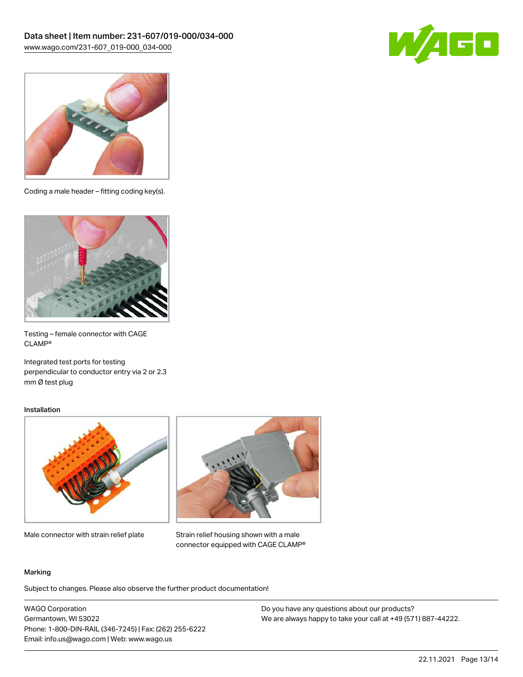



Coding a male header – fitting coding key(s).



Testing – female connector with CAGE CLAMP®

Integrated test ports for testing perpendicular to conductor entry via 2 or 2.3 mm Ø test plug

#### Installation



Male connector with strain relief plate



Strain relief housing shown with a male connector equipped with CAGE CLAMP®

#### Marking

Subject to changes. Please also observe the further product documentation!

WAGO Corporation Germantown, WI 53022 Phone: 1-800-DIN-RAIL (346-7245) | Fax: (262) 255-6222 Email: info.us@wago.com | Web: www.wago.us